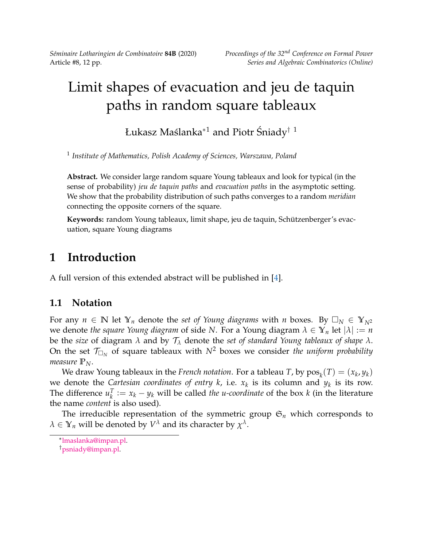*Séminaire Lotharingien de Combinatoire* **84B** (2020) *Proceedings of the 32nd Conference on Formal Power*

# Limit shapes of evacuation and jeu de taquin paths in random square tableaux

Łukasz Maślanka<sup>∗1</sup> and Piotr Śniady<sup>† 1</sup>

1 *Institute of Mathematics, Polish Academy of Sciences, Warszawa, Poland*

**Abstract.** We consider large random square Young tableaux and look for typical (in the sense of probability) *jeu de taquin paths* and *evacuation paths* in the asymptotic setting. We show that the probability distribution of such paths converges to a random *meridian* connecting the opposite corners of the square.

**Keywords:** random Young tableaux, limit shape, jeu de taquin, Schützenberger's evacuation, square Young diagrams

# **1 Introduction**

A full version of this extended abstract will be published in [\[4\]](#page-11-0).

### **1.1 Notation**

For any  $n \in \mathbb{N}$  let  $\mathbb{Y}_n$  denote the *set of Young diagrams* with *n* boxes. By  $\Box_N \in \mathbb{Y}_{N^2}$ we denote *the square Young diagram* of side *N*. For a Young diagram *λ* ∈ **Y***<sup>n</sup>* let |*λ*| := *n* be the *size* of diagram *λ* and by T*<sup>λ</sup>* denote the *set of standard Young tableaux of shape λ*. On the set  $\mathcal{T}_{\Box_N}$  of square tableaux with  $N^2$  boxes we consider *the uniform probability measure*  $\mathbb{P}_N$ .

We draw Young tableaux in the *French notation*. For a tableau *T*, by  $\text{pos}_k(T) = (x_k, y_k)$ we denote the *Cartesian coordinates of entry k,* i.e.  $x_k$  is its column and  $y_k$  is its row. The difference  $u_k^T$  $X_k^T := x_k - y_k$  will be called *the u-coordinate* of the box *k* (in the literature the name *content* is also used).

The irreducible representation of the symmetric group  $\mathfrak{S}_n$  which corresponds to  $\lambda \in \mathbb{Y}_n$  will be denoted by  $V^\lambda$  and its character by  $\chi^\lambda.$ 

<sup>∗</sup> [lmaslanka@impan.pl.](mailto:lmaslanka@impan.pl)

<sup>†</sup>[psniady@impan.pl.](mailto:psniady@impan.pl)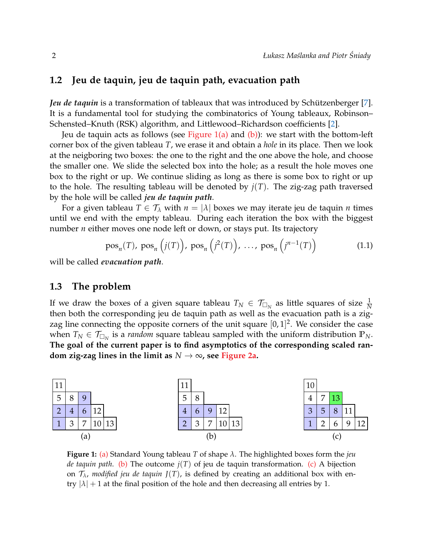### **1.2 Jeu de taquin, jeu de taquin path, evacuation path**

*Jeu de taquin* is a transformation of tableaux that was introduced by Schützenberger [\[7\]](#page-11-1). It is a fundamental tool for studying the combinatorics of Young tableaux, Robinson– Schensted–Knuth (RSK) algorithm, and Littlewood–Richardson coefficients [\[2\]](#page-11-2).

Jeu de taquin acts as follows (see [Figure 1](#page-1-0)[\(a\)](#page-1-1) and [\(b\)\)](#page-1-2): we start with the bottom-left corner box of the given tableau *T*, we erase it and obtain a *hole* in its place. Then we look at the neigboring two boxes: the one to the right and the one above the hole, and choose the smaller one. We slide the selected box into the hole; as a result the hole moves one box to the right or up. We continue sliding as long as there is some box to right or up to the hole. The resulting tableau will be denoted by  $j(T)$ . The zig-zag path traversed by the hole will be called *jeu de taquin path*.

For a given tableau  $T \in \mathcal{T}_{\lambda}$  with  $n = |\lambda|$  boxes we may iterate jeu de taquin *n* times until we end with the empty tableau. During each iteration the box with the biggest number *n* either moves one node left or down, or stays put. Its trajectory

<span id="page-1-5"></span>
$$
\text{pos}_n(T), \text{pos}_n\left(j(T)\right), \text{pos}_n\left(j^2(T)\right), \dots, \text{pos}_n\left(j^{n-1}(T)\right) \tag{1.1}
$$

will be called *evacuation path*.

### <span id="page-1-4"></span>**1.3 The problem**

If we draw the boxes of a given square tableau  $T_N \in \mathcal{T}_{\square_N}$  as little squares of size  $\frac{1}{N}$ then both the corresponding jeu de taquin path as well as the evacuation path is a zigzag line connecting the opposite corners of the unit square  $[0,1]^2$ . We consider the case when  $T_N \in \mathcal{T}_{\Box_N}$  is a *random* square tableau sampled with the uniform distribution  $\mathbb{P}_N$ . **The goal of the current paper is to find asymptotics of the corresponding scaled random zig-zag lines in the limit as**  $N \rightarrow \infty$ , see [Figure 2a.](#page-2-0)

<span id="page-1-1"></span><span id="page-1-0"></span>

<span id="page-1-3"></span><span id="page-1-2"></span>**Figure 1:** [\(a\)](#page-1-1) Standard Young tableau *T* of shape *λ*. The highlighted boxes form the *jeu de taquin path.* [\(b\)](#page-1-2) The outcome  $j(T)$  of jeu de taquin transformation. [\(c\)](#page-1-3) A bijection on  $\mathcal{T}_{\lambda}$ , *modified jeu de taquin*  $J(T)$ , is defined by creating an additional box with entry  $|\lambda| + 1$  at the final position of the hole and then decreasing all entries by 1.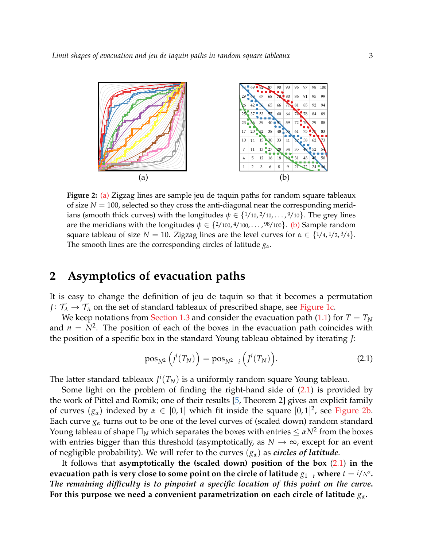<span id="page-2-1"></span>

<span id="page-2-0"></span>**Figure 2:** [\(a\)](#page-2-0) Zigzag lines are sample jeu de taquin paths for random square tableaux of size  $N = 100$ , selected so they cross the anti-diagonal near the corresponding meridians (smooth thick curves) with the longitudes  $\psi \in \{1/10, 2/10, \ldots, 9/10\}$ . The grey lines are the meridians with the longitudes *ψ* ∈ {2/100, 4/100, . . . , <sup>98</sup>/100}. [\(b\)](#page-2-1) Sample random square tableau of size  $N = 10$ . Zigzag lines are the level curves for  $\alpha \in \{1/4, 1/2, 3/4\}$ . The smooth lines are the corresponding circles of latitude *gα*.

### <span id="page-2-3"></span>**2 Asymptotics of evacuation paths**

It is easy to change the definition of jeu de taquin so that it becomes a permutation *J* :  $\mathcal{T}_{\lambda} \rightarrow \mathcal{T}_{\lambda}$  on the set of standard tableaux of prescribed shape, see [Figure 1c.](#page-1-3)

We keep notations from [Section 1.3](#page-1-4) and consider the evacuation path [\(1.1\)](#page-1-5) for  $T = T_N$ and  $n = N^2$ . The position of each of the boxes in the evacuation path coincides with the position of a specific box in the standard Young tableau obtained by iterating *J*:

<span id="page-2-2"></span>
$$
\text{pos}_{N^2}\left(j^i(T_N)\right) = \text{pos}_{N^2-i}\left(j^i(T_N)\right). \tag{2.1}
$$

The latter standard tableaux  $J^i(T_N)$  is a uniformly random square Young tableau.

Some light on the problem of finding the right-hand side of  $(2.1)$  is provided by the work of Pittel and Romik; one of their results [\[5,](#page-11-3) Theorem 2] gives an explicit family of curves  $(g_\alpha)$  indexed by  $\alpha \in [0,1]$  which fit inside the square  $[0,1]^2$ , see [Figure 2b.](#page-2-1) Each curve  $g_\alpha$  turns out to be one of the level curves of (scaled down) random standard Young tableau of shape  $\Box_N$  which separates the boxes with entries  $\leq \alpha N^2$  from the boxes with entries bigger than this threshold (asymptotically, as  $N \to \infty$ , except for an event of negligible probability). We will refer to the curves (*gα*) as *circles of latitude*.

It follows that **asymptotically the (scaled down) position of the box** [\(2.1\)](#page-2-2) **in the** <code>evacuation path is very close to some point on the circle of latitude  $g_{1-t}$  where  $t = \frac{i}{N^2}$ .</code> *The remaining difficulty is to pinpoint a specific location of this point on the curve***. For this purpose we need a convenient parametrization on each circle of latitude** *gα***.**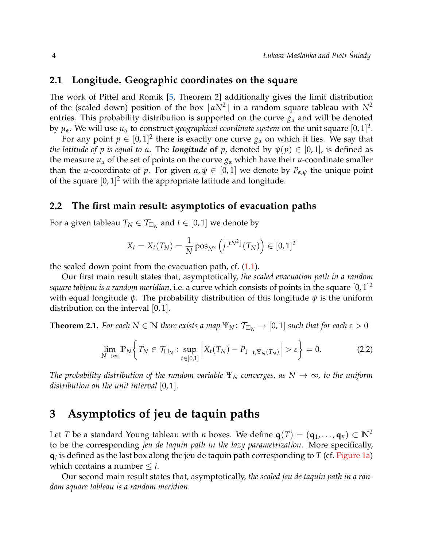### **2.1 Longitude. Geographic coordinates on the square**

The work of Pittel and Romik [\[5,](#page-11-3) Theorem 2] additionally gives the limit distribution of the (scaled down) position of the box  $\lfloor \alpha N^2 \rfloor$  in a random square tableau with  $N^2$ entries. This probability distribution is supported on the curve  $g_\alpha$  and will be denoted by  $\mu_{\alpha}$ . We will use  $\mu_{\alpha}$  to construct *geographical coordinate system* on the unit square  $[0,1]^2$ .

For any point  $p \in [0,1]^2$  there is exactly one curve  $g_\alpha$  on which it lies. We say that *the latitude of p is equal to*  $\alpha$ . The *longitude* of  $p$ , denoted by  $\psi(p) \in [0,1]$ , is defined as the measure  $\mu_{\alpha}$  of the set of points on the curve  $g_{\alpha}$  which have their *u*-coordinate smaller than the *u*-coordinate of *p*. For given  $\alpha, \psi \in [0,1]$  we denote by  $P_{\alpha,\psi}$  the unique point of the square  $[0,1]^2$  with the appropriate latitude and longitude.

#### **2.2 The first main result: asymptotics of evacuation paths**

For a given tableau  $T_N \in \mathcal{T}_{\square_N}$  and  $t \in [0,1]$  we denote by

$$
X_t = X_t(T_N) = \frac{1}{N} \operatorname{pos}_{N^2} (j^{\lfloor tN^2 \rfloor}(T_N)) \in [0,1]^2
$$

the scaled down point from the evacuation path, cf.  $(1.1)$ .

Our first main result states that, asymptotically, *the scaled evacuation path in a random*  $square$  tableau is a random meridian, i.e. a curve which consists of points in the square  $[0,1]^2$ with equal longitude *ψ*. The probability distribution of this longitude *ψ* is the uniform distribution on the interval  $[0, 1]$ .

<span id="page-3-0"></span>**Theorem 2.1.** *For each*  $N \in \mathbb{N}$  *there exists a map*  $\Psi_N : \mathcal{T}_{\Box_N} \to [0,1]$  *such that for each*  $\varepsilon > 0$ 

$$
\lim_{N \to \infty} \mathbb{P}_N \bigg\{ T_N \in \mathcal{T}_{\square_N} : \sup_{t \in [0,1]} \bigg| X_t(T_N) - P_{1-t, \Psi_N(T_N)} \bigg| > \varepsilon \bigg\} = 0. \tag{2.2}
$$

*The probability distribution of the random variable*  $\Psi_N$  *converges, as*  $N \to \infty$ , to the uniform *distribution on the unit interval* [0, 1]*.*

### **3 Asymptotics of jeu de taquin paths**

Let *T* be a standard Young tableau with *n* boxes. We define  $q(T) = (q_1, \ldots, q_n) \subset \mathbb{N}^2$ to be the corresponding *jeu de taquin path in the lazy parametrization*. More specifically, **q***i* is defined as the last box along the jeu de taquin path corresponding to *T* (cf. [Figure 1a\)](#page-1-1) which contains a number  $\leq i$ .

<span id="page-3-1"></span>Our second main result states that, asymptotically, *the scaled jeu de taquin path in a random square tableau is a random meridian*.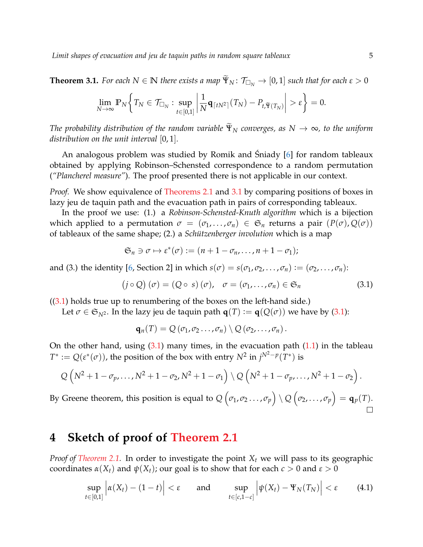**Theorem 3.1.** *For each*  $N \in \mathbb{N}$  *there exists a map*  $\widetilde{\Psi}_N \colon \mathcal{T}_{\Box_N} \to [0,1]$  *such that for each*  $\varepsilon > 0$ 

$$
\lim_{N\to\infty}\mathbb{P}_N\bigg\{T_N\in\mathcal{T}_{\square_N}: \sup_{t\in[0,1]}\bigg|\frac{1}{N}\mathbf{q}_{\lceil tN^2\rceil}(T_N)-P_{t,\widetilde{\mathbf{Y}}(T_N)}\bigg|>\varepsilon\bigg\}=0.
$$

*The probability distribution of the random variable*  $\widetilde{\Psi}_{N}$  *converges, as*  $N \to \infty$ *, to the uniform distribution on the unit interval* [0, 1]*.*

An analogous problem was studied by Romik and Sniady [[6\]](#page-11-4) for random tableaux obtained by applying Robinson–Schensted correspondence to a random permutation (*"Plancherel measure"*). The proof presented there is not applicable in our context.

*Proof.* We show equivalence of [Theorems 2.1](#page-3-0) and [3.1](#page-3-1) by comparing positions of boxes in lazy jeu de taquin path and the evacuation path in pairs of corresponding tableaux.

In the proof we use: (1.) a *Robinson-Schensted-Knuth algorithm* which is a bijection which applied to a permutation  $\sigma = (\sigma_1, \ldots, \sigma_n) \in \mathfrak{S}_n$  returns a pair  $(P(\sigma), Q(\sigma))$ of tableaux of the same shape; (2.) a *Schützenberger involution* which is a map

$$
\mathfrak{S}_n \ni \sigma \mapsto \varepsilon^*(\sigma) := (n+1-\sigma_n,\ldots,n+1-\sigma_1);
$$

and (3.) the identity [\[6,](#page-11-4) Section 2] in which  $s(\sigma) = s(\sigma_1, \sigma_2, \dots, \sigma_n) := (\sigma_2, \dots, \sigma_n)$ :

$$
(j \circ Q) (\sigma) = (Q \circ s) (\sigma), \quad \sigma = (\sigma_1, \dots, \sigma_n) \in \mathfrak{S}_n \tag{3.1}
$$

 $((3.1)$  $((3.1)$  holds true up to renumbering of the boxes on the left-hand side.)

Let  $\sigma \in \mathfrak{S}_{N^2}$ . In the lazy jeu de taquin path  $\mathbf{q}(T) := \mathbf{q}(Q(\sigma))$  we have by [\(3.1\)](#page-4-0):

<span id="page-4-1"></span><span id="page-4-0"></span>
$$
\mathbf{q}_n(T) = Q(\sigma_1, \sigma_2 \ldots, \sigma_n) \setminus Q(\sigma_2, \ldots, \sigma_n).
$$

On the other hand, using  $(3.1)$  many times, in the evacuation path  $(1.1)$  in the tableau  $T^* := Q(\varepsilon^*(\sigma))$ , the position of the box with entry  $N^2$  in  $j^{N^2-p}(T^*)$  is

$$
Q\left(N^2+1-\sigma_p,\ldots,N^2+1-\sigma_2,N^2+1-\sigma_1\right)\setminus Q\left(N^2+1-\sigma_p,\ldots,N^2+1-\sigma_2\right).
$$

By Greene theorem, this position is equal to  $Q\left(\sigma_1, \sigma_2 \ldots, \sigma_p \right) \setminus Q\left(\sigma_2, \ldots, \sigma_p \right) = \mathbf{q}_p(T).$ 

# **4 Sketch of proof of [Theorem 2.1](#page-3-0)**

*Proof of [Theorem 2.1.](#page-3-0)* In order to investigate the point *X<sup>t</sup>* we will pass to its geographic coordinates  $\alpha(X_t)$  and  $\psi(X_t)$ ; our goal is to show that for each  $c > 0$  and  $\varepsilon > 0$ 

$$
\sup_{t\in[0,1]} \left| \alpha(X_t) - (1-t) \right| < \varepsilon \quad \text{and} \quad \sup_{t\in[c,1-c]} \left| \psi(X_t) - \Psi_N(T_N) \right| < \varepsilon \quad (4.1)
$$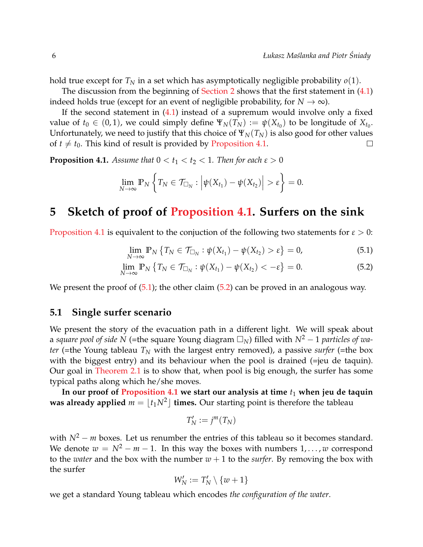hold true except for  $T_N$  in a set which has asymptotically negligible probability  $o(1)$ .

The discussion from the beginning of [Section 2](#page-2-3) shows that the first statement in  $(4.1)$ indeed holds true (except for an event of negligible probability, for  $N \to \infty$ ).

If the second statement in [\(4.1\)](#page-4-1) instead of a supremum would involve only a fixed value of  $t_0 \in (0,1)$ , we could simply define  $\Psi_N(T_N) := \psi(X_{t_0})$  to be longitude of  $X_{t_0}$ . Unfortunately, we need to justify that this choice of  $\Psi_N(T_N)$  is also good for other values of  $t \neq t_0$ . This kind of result is provided by [Proposition 4.1.](#page-5-0)  $\Box$ 

<span id="page-5-0"></span>**Proposition 4.1.** *Assume that*  $0 < t_1 < t_2 < 1$ *. Then for each*  $\varepsilon > 0$ 

$$
\lim_{N\to\infty} \mathbb{P}_N\left\{T_N\in \mathcal{T}_{\square_N}: \Big|\psi(X_{t_1})-\psi(X_{t_2})\Big|>\varepsilon\right\}=0.
$$

### **5 Sketch of proof of [Proposition 4.1.](#page-5-0) Surfers on the sink**

[Proposition 4.1](#page-5-0) is equivalent to the conjuction of the following two statements for  $\varepsilon > 0$ :

<span id="page-5-2"></span><span id="page-5-1"></span>
$$
\lim_{N \to \infty} \mathbb{P}_N \left\{ T_N \in \mathcal{T}_{\square_N} : \psi(X_{t_1}) - \psi(X_{t_2}) > \varepsilon \right\} = 0, \tag{5.1}
$$

$$
\lim_{N \to \infty} \mathbb{P}_N \left\{ T_N \in \mathcal{T}_{\square_N} : \psi(X_{t_1}) - \psi(X_{t_2}) < -\varepsilon \right\} = 0. \tag{5.2}
$$

We present the proof of  $(5.1)$ ; the other claim  $(5.2)$  can be proved in an analogous way.

### <span id="page-5-3"></span>**5.1 Single surfer scenario**

We present the story of the evacuation path in a different light. We will speak about a *square pool of side N* (=the square Young diagram *N*) filled with *N*<sup>2</sup> − 1 *particles of water* (=the Young tableau *T<sup>N</sup>* with the largest entry removed), a passive *surfer* (=the box with the biggest entry) and its behaviour when the pool is drained (=jeu de taquin). Our goal in [Theorem 2.1](#page-3-0) is to show that, when pool is big enough, the surfer has some typical paths along which he/she moves.

In our proof of [Proposition 4.1](#page-5-0) we start our analysis at time  $t_1$  when jeu de taquin **was already applied**  $m = \lfloor t_1 N^2 \rfloor$  **times.** Our starting point is therefore the tableau

$$
T_N':=j^m(T_N)
$$

with  $N^2 - m$  boxes. Let us renumber the entries of this tableau so it becomes standard. We denote  $w = N^2 - m - 1$ . In this way the boxes with numbers  $1, \ldots, w$  correspond to the *water* and the box with the number  $w + 1$  to the *surfer*. By removing the box with the surfer

$$
W_N':=T_N'\setminus\{w+1\}
$$

we get a standard Young tableau which encodes *the configuration of the water*.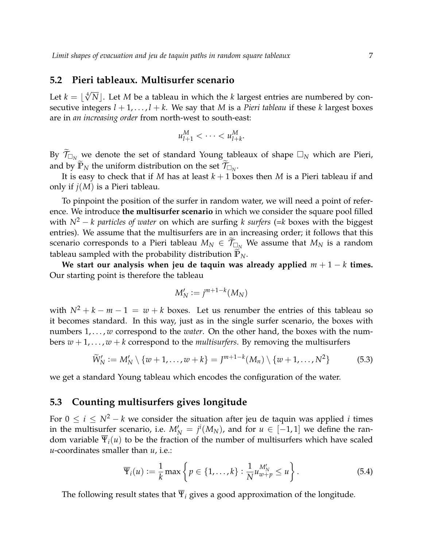#### <span id="page-6-1"></span>**5.2 Pieri tableaux. Multisurfer scenario**

Let  $k = \lfloor \sqrt[4]{N} \rfloor$ . Let *M* be a tableau in which the *k* largest entries are numbered by consecutive integers  $l + 1, \ldots, l + k$ . We say that *M* is a *Pieri tableau* if these *k* largest boxes are in *an increasing order* from north-west to south-east:

$$
u_{l+1}^M < \cdots < u_{l+k}^M.
$$

By  $\widetilde{\mathcal{T}}_{\Box_N}$  we denote the set of standard Young tableaux of shape  $\Box_N$  which are Pieri, and by  $\mathbb{P}_N$  the uniform distribution on the set  $\mathcal{T}_{\Box_N}$ .

It is easy to check that if *M* has at least *k* + 1 boxes then *M* is a Pieri tableau if and only if *j*(*M*) is a Pieri tableau.

To pinpoint the position of the surfer in random water, we will need a point of reference. We introduce **the multisurfer scenario** in which we consider the square pool filled with *N*<sup>2</sup> − *k particles of water* on which are surfing *k surfers* (=*k* boxes with the biggest entries). We assume that the multisurfers are in an increasing order; it follows that this scenario corresponds to a Pieri tableau  $M_N \in \mathcal{T}_{\Box_N}$  We assume that  $M_N$  is a random tableau sampled with the probability distribution  $\mathbb{P}_N$ .

We start our analysis when jeu de taquin was already applied  $m + 1 - k$  times. Our starting point is therefore the tableau

<span id="page-6-0"></span>
$$
M'_N := j^{m+1-k}(M_N)
$$

with  $N^2 + k - m - 1 = w + k$  boxes. Let us renumber the entries of this tableau so it becomes standard. In this way, just as in the single surfer scenario, the boxes with numbers  $1, \ldots, w$  correspond to the *water*. On the other hand, the boxes with the numbers  $w + 1, \ldots, w + k$  correspond to the *multisurfers*. By removing the multisurfers

$$
\widetilde{W}'_N := M'_N \setminus \{w+1,\ldots,w+k\} = J^{m+1-k}(M_n) \setminus \{w+1,\ldots,N^2\}
$$
\n(5.3)

we get a standard Young tableau which encodes the configuration of the water.

### <span id="page-6-2"></span>**5.3 Counting multisurfers gives longitude**

For  $0 \le i \le N^2 - k$  we consider the situation after jeu de taquin was applied *i* times in the multisurfer scenario, i.e.  $M'_N = j^i(M_N)$ , and for  $u \in [-1,1]$  we define the random variable  $\overline{\Psi}_i(u)$  to be the fraction of the number of multisurfers which have scaled *u*-coordinates smaller than *u*, i.e.:

<span id="page-6-3"></span>
$$
\overline{\Psi}_i(u) := \frac{1}{k} \max \left\{ p \in \{1, \ldots, k\} : \frac{1}{N} u_{w+p}^{M'_N} \le u \right\}.
$$
 (5.4)

<span id="page-6-4"></span>The following result states that  $\overline{\Psi}_i$  gives a good approximation of the longitude.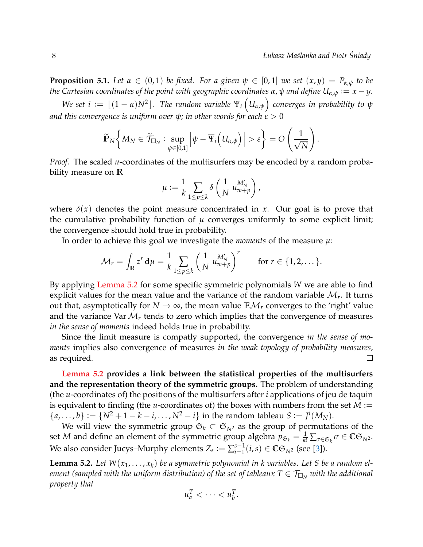**Proposition 5.1.** *Let*  $\alpha \in (0,1)$  *be fixed. For a given*  $\psi \in [0,1]$  *we set*  $(x,y) = P_{\alpha,\psi}$  *to be the Cartesian coordinates of the point with geographic coordinates*  $\alpha$ ,  $\psi$  *and define*  $U_{\alpha,\psi} := x - y$ .

*We set i* :=  $\lfloor (1 - \alpha)N^2 \rfloor$ . The random variable  $\overline{\Psi}_i\left(U_{\alpha,\psi}\right)$  converges in probability to  $\psi$ *and this convergence is uniform over*  $\psi$ *; in other words for each*  $\varepsilon > 0$ 

$$
\widetilde{\mathbb{P}}_N\bigg\{M_N\in \widetilde{\mathcal{T}}_{\square_N}: \sup_{\psi\in[0,1]}\Big|\psi-\overline{\Psi}_i\Big(U_{\alpha,\psi}\Big)\Big|>\varepsilon\bigg\}=O\left(\frac{1}{\sqrt{N}}\right).
$$

*Proof.* The scaled *u*-coordinates of the multisurfers may be encoded by a random probability measure on **R**

$$
\mu := \frac{1}{k} \sum_{1 \le p \le k} \delta \left( \frac{1}{N} u_{w+p}^{M_N'} \right),
$$

where  $\delta(x)$  denotes the point measure concentrated in *x*. Our goal is to prove that the cumulative probability function of  $\mu$  converges uniformly to some explicit limit; the convergence should hold true in probability.

In order to achieve this goal we investigate the *moments* of the measure *µ*:

$$
\mathcal{M}_r = \int_{\mathbb{R}} z^r \, \mathrm{d}\mu = \frac{1}{k} \sum_{1 \leq p \leq k} \left( \frac{1}{N} \, u_{w+p}^{M_N'} \right)^r \qquad \text{for } r \in \{1, 2, \dots\}.
$$

By applying [Lemma 5.2](#page-7-0) for some specific symmetric polynomials *W* we are able to find explicit values for the mean value and the variance of the random variable  $\mathcal{M}_r$ . It turns out that, asymptotically for  $N \to \infty$ , the mean value  $\mathbb{E} \mathcal{M}_r$  converges to the 'right' value and the variance Var  $\mathcal{M}_r$  tends to zero which implies that the convergence of measures *in the sense of moments* indeed holds true in probability.

Since the limit measure is compatly supported, the convergence *in the sense of moments* implies also convergence of measures *in the weak topology of probability measures*, as required.  $\Box$ 

**[Lemma 5.2](#page-7-0) provides a link between the statistical properties of the multisurfers and the representation theory of the symmetric groups.** The problem of understanding (the *u*-coordinates of) the positions of the multisurfers after *i* applications of jeu de taquin is equivalent to finding (the *u*-coordinates of) the boxes with numbers from the set  $M :=$  $\{a, ..., b\} := \{N^2 + 1 - k - i, ..., N^2 - i\}$  in the random tableau  $S := J^i(M_N)$ .

We will view the symmetric group  $\mathfrak{S}_k \subset \mathfrak{S}_{N^2}$  as the group of permutations of the set *M* and define an element of the symmetric group algebra  $p_{\mathfrak{S}_k} = \frac{1}{k!} \sum_{\sigma \in \mathfrak{S}_k} \sigma \in \mathbb{C} \mathfrak{S}_{N^2}$ . We also consider Jucys–Murphy elements  $Z_s := \sum_{i=1}^{s-1}$  $\sum_{i=1}^{s-1} (i,s) \in \mathbb{C} \mathfrak{S}_{N^2}$  (see [\[3\]](#page-11-5)).

<span id="page-7-0"></span>**Lemma 5.2.** Let  $W(x_1, \ldots, x_k)$  be a symmetric polynomial in k variables. Let S be a random el*ement (sampled with the uniform distribution) of the set of tableaux*  $T \in \mathcal{T}_{\Box_N}$  *with the additional property that*

$$
u_a^T < \cdots < u_b^T.
$$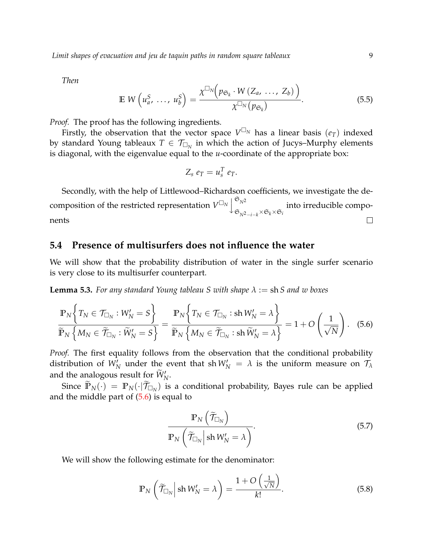*Then*

$$
\mathbb{E} \ W\left(u_a^S, \ \ldots, \ u_b^S\right) = \frac{\chi^{\Box_N}\left(p_{\mathfrak{S}_k} \cdot W\left(Z_a, \ \ldots, \ Z_b\right)\right)}{\chi^{\Box_N}\left(p_{\mathfrak{S}_k}\right)}.
$$
\n
$$
(5.5)
$$

*Proof.* The proof has the following ingredients.

Firstly, the observation that the vector space  $V^{\square_N}$  has a linear basis  $(e_T)$  indexed by standard Young tableaux  $T \in \mathcal{T}_{\Box_N}$  in which the action of Jucys–Murphy elements is diagonal, with the eigenvalue equal to the *u*-coordinate of the appropriate box:

<span id="page-8-0"></span>
$$
Z_s e_T = u_s^T e_T.
$$

Secondly, with the help of Littlewood–Richardson coefficients, we investigate the de- $\mathfrak{S}_{N^2}$ composition of the restricted representation  $V^{\square_N}$ into irreducible compo- $\mathfrak{S}_{N^2-i-k}$ × $\mathfrak{S}_k$ × $\mathfrak{S}_i$ nents  $\Box$ 

### **5.4 Presence of multisurfers does not influence the water**

We will show that the probability distribution of water in the single surfer scenario is very close to its multisurfer counterpart.

<span id="page-8-3"></span>**Lemma 5.3.** *For any standard Young tableau S with shape*  $\lambda :=$  sh *S and w boxes* 

$$
\frac{\mathbb{P}_N \Big\{ T_N \in \mathcal{T}_{\Box_N} : W'_N = S \Big\}}{\widetilde{\mathbb{P}}_N \Big\{ M_N \in \widetilde{\mathcal{T}}_{\Box_N} : \widetilde{W}'_N = S \Big\}} = \frac{\mathbb{P}_N \Big\{ T_N \in \mathcal{T}_{\Box_N} : \text{sh } W'_N = \lambda \Big\}}{\widetilde{\mathbb{P}}_N \Big\{ M_N \in \widetilde{\mathcal{T}}_{\Box_N} : \text{sh } \widetilde{W}'_N = \lambda \Big\}} = 1 + O\left(\frac{1}{\sqrt{N}}\right). \tag{5.6}
$$

*Proof.* The first equality follows from the observation that the conditional probability distribution of  $W_N'$  under the event that sh  $W_N' = \lambda$  is the uniform measure on  $\mathcal{T}_{\lambda}$ and the analogous result for  $\widetilde{W}'_N$ .

Since  $\mathbb{P}_N(\cdot) = \mathbb{P}_N(\cdot | \mathcal{T}_{\Box_N})$  is a conditional probability, Bayes rule can be applied and the middle part of  $(5.6)$  is equal to

<span id="page-8-2"></span><span id="page-8-1"></span>
$$
\frac{\mathbb{P}_N\left(\widetilde{\mathcal{T}}_{\Box_N}\right)}{\mathbb{P}_N\left(\widetilde{\mathcal{T}}_{\Box_N}\middle|\operatorname{sh} W'_N=\lambda\right)}.\tag{5.7}
$$

We will show the following estimate for the denominator:

$$
\mathbb{P}_N\left(\widetilde{\mathcal{T}}_{\Box_N}\middle|\sh{W'_N}=\lambda\right)=\frac{1+O\left(\frac{1}{\sqrt{N}}\right)}{k!}.\tag{5.8}
$$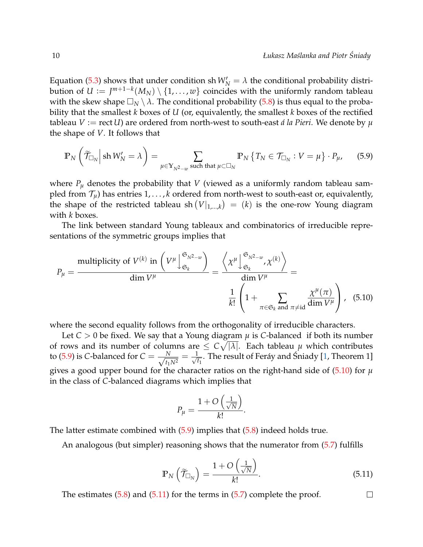Equation [\(5.3\)](#page-6-0) shows that under condition sh  $W_N' = \lambda$  the conditional probability distribution of  $U\coloneqq J^{m+1-k}(M_N)\setminus\{1,\ldots,w\}$  coincides with the uniformly random tableau with the skew shape  $\Box_N \setminus \lambda$ . The conditional probability [\(5.8\)](#page-8-1) is thus equal to the probability that the smallest *k* boxes of *U* (or, equivalently, the smallest *k* boxes of the rectified tableau  $V := \text{rect } U$  are ordered from north-west to south-east *á la Pieri*. We denote by  $\mu$ the shape of *V*. It follows that

<span id="page-9-0"></span>
$$
\mathbb{P}_N\left(\widetilde{\mathcal{T}}_{\Box_N}\Big|\sh{W'_N}=\lambda\right)=\sum_{\mu\in\mathbb{Y}_{N^2-w}\text{ such that }\mu\subset\Box_N}\mathbb{P}_N\left\{T_N\in\mathcal{T}_{\Box_N}:V=\mu\right\}\cdot P_\mu,\qquad(5.9)
$$

where  $P_\mu$  denotes the probability that *V* (viewed as a uniformly random tableau sampled from  $\mathcal{T}_{\mu}$ ) has entries 1, . . . , *k* ordered from north-west to south-east or, equivalently, the shape of the restricted tableau sh  $(V|_{1,\dots,k}) = (k)$  is the one-row Young diagram with *k* boxes.

The link between standard Young tableaux and combinatorics of irreducible representations of the symmetric groups implies that

$$
P_{\mu} = \frac{\text{multiplicity of } V^{(k)} \text{ in } \left( V^{\mu} \bigg| \frac{\mathfrak{S}_{N^2 - w}}{\mathfrak{S}_{k}} \right)}{\dim V^{\mu}} = \frac{\left\langle \chi^{\mu} \bigg| \frac{\mathfrak{S}_{N^2 - w}}{\mathfrak{S}_{k}}, \chi^{(k)} \right\rangle}{\dim V^{\mu}} = \frac{\frac{1}{2} \left( 1 + \sum_{\pi \in \mathfrak{S}_{k} \text{ and } \pi \neq \text{id}} \frac{\chi^{\mu}(\pi)}{\dim V^{\mu}} \right)}{1 + \frac{1}{2} \left( 1 + \sum_{\pi \in \mathfrak{S}_{k} \text{ and } \pi \neq \text{id}} \frac{\chi^{\mu}(\pi)}{\dim V^{\mu}} \right)}, \quad (5.10)
$$

where the second equality follows from the orthogonality of irreducible characters.

Let  $C > 0$  be fixed. We say that a Young diagram  $\mu$  is C-balanced if both its number of rows and its number of columns are  $\leq C \sqrt{|\lambda|}.$  Each tableau  $\mu$  which contributes to [\(5.9\)](#page-9-0) is *C*-balanced for  $C = \frac{N}{\sqrt{N}}$ *t*1*N*<sup>2</sup>  $=$   $\frac{1}{4}$  $\frac{1}{t_1}$ . The result of Feráy and Śniady [[1,](#page-11-6) Theorem 1] gives a good upper bound for the character ratios on the right-hand side of [\(5.10\)](#page-9-1) for *µ* in the class of *C*-balanced diagrams which implies that

$$
P_{\mu} = \frac{1 + O\left(\frac{1}{\sqrt{N}}\right)}{k!}.
$$

The latter estimate combined with  $(5.9)$  implies that  $(5.8)$  indeed holds true.

An analogous (but simpler) reasoning shows that the numerator from [\(5.7\)](#page-8-2) fulfills

$$
\mathbb{P}_N\left(\widetilde{\mathcal{T}}_{\Box_N}\right) = \frac{1 + O\left(\frac{1}{\sqrt{N}}\right)}{k!}.
$$
\n(5.11)

<span id="page-9-2"></span><span id="page-9-1"></span> $\Box$ 

The estimates  $(5.8)$  and  $(5.11)$  for the terms in  $(5.7)$  complete the proof.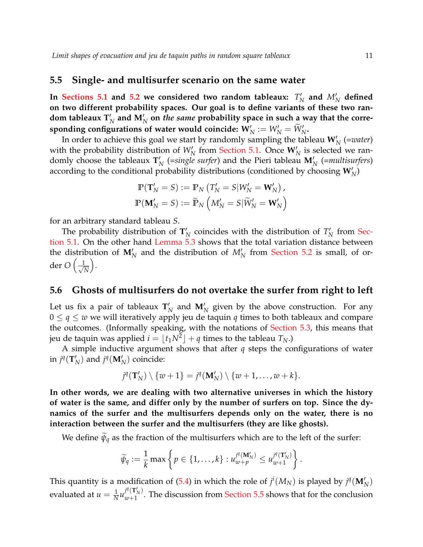#### <span id="page-10-0"></span>**5.5 Single- and multisurfer scenario on the same water**

In [Sections 5.1](#page-5-3) and [5.2](#page-6-1) we considered two random tableaux:  $T'_{\beta}$  $\frac{N}{N}$  and  $M'_N$  defined **on two different probability spaces. Our goal is to define variants of these two ran**dom tableaux  $\mathbf{T}_N'$  and  $\mathbf{M}_N'$  on *the same* probability space in such a way that the corre- $\mathbf{Sponding~configurations~of~water~ would~coincide:~} \mathbf{W}'_N := W'_N = \widetilde{W}'_N.$ 

In order to achieve this goal we start by randomly sampling the tableau  $W_N'$  (=*water*) with the probability distribution of  $W_N'$  from [Section 5.1.](#page-5-3) Once  $W_N'$  is selected we randomly choose the tableaux  $\mathbf{T}'_l$  $N_{N}$  (=single surfer) and the Pieri tableau  $\mathbf{M}'_{N}$  (=multisurfers) according to the conditional probability distributions (conditioned by choosing  $W_N'$ )

$$
\mathbb{P}(\mathbf{T}'_N = S) := \mathbb{P}_N \left( T'_N = S | W'_N = \mathbf{W}'_N \right),
$$
  

$$
\mathbb{P}(\mathbf{M}'_N = S) := \widetilde{\mathbb{P}}_N \left( M'_N = S | \widetilde{W}'_N = \mathbf{W}'_N \right)
$$

for an arbitrary standard tableau *S*.

The probability distribution of  $\mathbf{T}'_1$  $N_N'$  coincides with the distribution of  $T_N'$  $N\prime$  from [Sec](#page-5-3)[tion 5.1.](#page-5-3) On the other hand [Lemma 5.3](#page-8-3) shows that the total variation distance between the distribution of  $M'_N$  and the distribution of  $M'_N$  from [Section 5.2](#page-6-1) is small, of order *O* √ 1 *N* .

### **5.6 Ghosts of multisurfers do not overtake the surfer from right to left**

Let us fix a pair of tableaux  $\mathbf{T}'_1$  $N_N$  and  $M'_N$  given by the above construction. For any  $0 \leq q \leq w$  we will iteratively apply jeu de taquin q times to both tableaux and compare the outcomes. (Informally speaking, with the notations of [Section 5.3,](#page-6-2) this means that jeu de taquin was applied  $i = \lfloor t_1 N^2 \rfloor + q$  times to the tableau  $T_N$ .)

A simple inductive argument shows that after *q* steps the configurations of water in  $j^q$ (**T**<sup> $\prime$ </sup>)  $N_N$ ) and  $j^q(\mathbf{M}'_N)$  coincide:

$$
j^{q}(\mathbf{T}'_{N})\setminus\{w+1\}=j^{q}(\mathbf{M}'_{N})\setminus\{w+1,\ldots,w+k\}.
$$

**In other words, we are dealing with two alternative universes in which the history of water is the same, and differ only by the number of surfers on top. Since the dynamics of the surfer and the multisurfers depends only on the water, there is no interaction between the surfer and the multisurfers (they are like ghosts).**

We define  $\widetilde{\psi}_q$  as the fraction of the multisurfers which are to the left of the surfer:

$$
\widetilde{\psi}_q:=\frac{1}{k}\max\left\{p\in\{1,\ldots,k\}:u_{w+p}^{j^q(\mathbf{M}'_N)}\leq u_{w+1}^{j^q(\mathbf{T}'_N)}\right\}.
$$

This quantity is a modification of [\(5.4\)](#page-6-3) in which the role of  $j^{i}(M_{N})$  is played by  $j^{q}(\mathbf{M}'_{N})$ evaluated at  $u = \frac{1}{N} u_{w+1}^{j^q(\mathbf{T}_N')}$  $w_{w+1}^{(\lambda_N)}$ . The discussion from [Section 5.5](#page-10-0) shows that for the conclusion